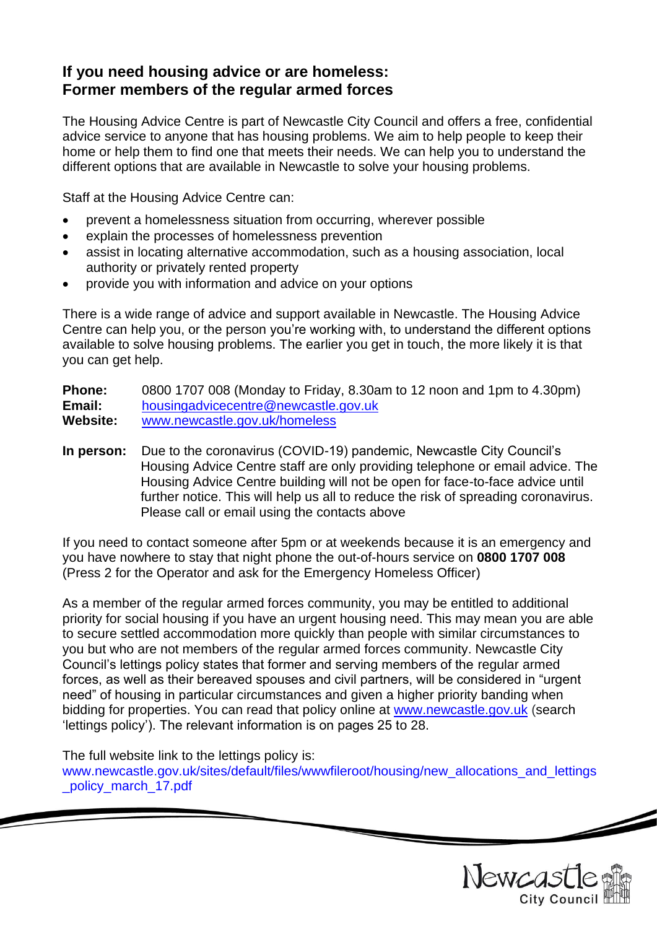# **If you need housing advice or are homeless: Former members of the regular armed forces**

The Housing Advice Centre is part of Newcastle City Council and offers a free, confidential advice service to anyone that has housing problems. We aim to help people to keep their home or help them to find one that meets their needs. We can help you to understand the different options that are available in Newcastle to solve your housing problems.

Staff at the Housing Advice Centre can:

- prevent a homelessness situation from occurring, wherever possible
- explain the processes of homelessness prevention
- assist in locating alternative accommodation, such as a housing association, local authority or privately rented property
- provide you with information and advice on your options

There is a wide range of advice and support available in Newcastle. The Housing Advice Centre can help you, or the person you're working with, to understand the different options available to solve housing problems. The earlier you get in touch, the more likely it is that you can get help.

**Phone:** 0800 1707 008 (Monday to Friday, 8.30am to 12 noon and 1pm to 4.30pm) **Email:** [housingadvicecentre@newcastle.gov.uk](mailto:housingadvicecentre@newcastle.gov.uk) **Website:** [www.newcastle.gov.uk/homeless](http://www.newcastle.gov.uk/homeless)

**In person:** Due to the coronavirus (COVID-19) pandemic, Newcastle City Council's Housing Advice Centre staff are only providing telephone or email advice. The Housing Advice Centre building will not be open for face-to-face advice until further notice. This will help us all to reduce the risk of spreading coronavirus. Please call or email using the contacts above

If you need to contact someone after 5pm or at weekends because it is an emergency and you have nowhere to stay that night phone the out-of-hours service on **0800 1707 008** (Press 2 for the Operator and ask for the Emergency Homeless Officer)

As a member of the regular armed forces community, you may be entitled to additional priority for social housing if you have an urgent housing need. This may mean you are able to secure settled accommodation more quickly than people with similar circumstances to you but who are not members of the regular armed forces community. Newcastle City Council's lettings policy states that former and serving members of the regular armed forces, as well as their bereaved spouses and civil partners, will be considered in "urgent need" of housing in particular circumstances and given a higher priority banding when bidding for properties. You can read that policy online at [www.newcastle.gov.uk](http://www.newcastle.gov.uk/) (search 'lettings policy'). The relevant information is on pages 25 to 28.

The full website link to the lettings policy is:

[www.newcastle.gov.uk/sites/default/files/wwwfileroot/housing/new\\_allocations\\_and\\_lettings](http://www.newcastle.gov.uk/sites/default/files/wwwfileroot/housing/new_allocations_and_lettings_policy_march_17.pdf) [\\_policy\\_march\\_17.pdf](http://www.newcastle.gov.uk/sites/default/files/wwwfileroot/housing/new_allocations_and_lettings_policy_march_17.pdf)

Newcast

 $\overline{\mathscr{L}}$